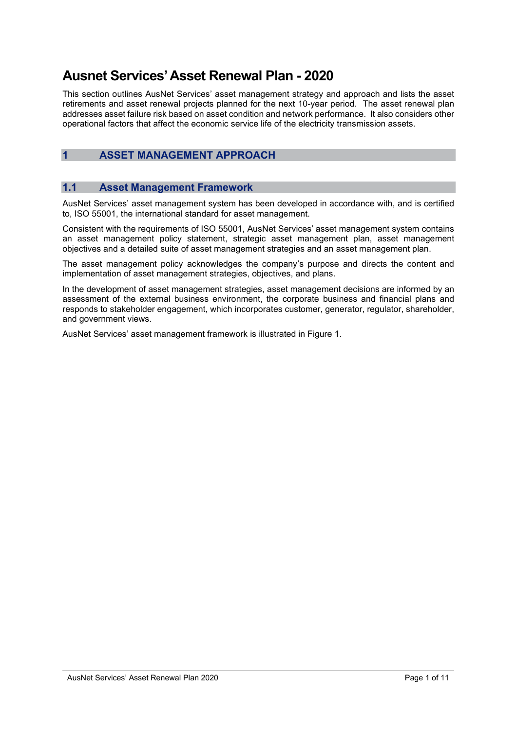# Ausnet Services' Asset Renewal Plan - 2020

This section outlines AusNet Services' asset management strategy and approach and lists the asset retirements and asset renewal projects planned for the next 10-year period. The asset renewal plan addresses asset failure risk based on asset condition and network performance. It also considers other operational factors that affect the economic service life of the electricity transmission assets.

## 1 ASSET MANAGEMENT APPROACH

#### 1.1 Asset Management Framework

AusNet Services' asset management system has been developed in accordance with, and is certified to, ISO 55001, the international standard for asset management.

Consistent with the requirements of ISO 55001, AusNet Services' asset management system contains an asset management policy statement, strategic asset management plan, asset management objectives and a detailed suite of asset management strategies and an asset management plan.

The asset management policy acknowledges the company's purpose and directs the content and implementation of asset management strategies, objectives, and plans.

In the development of asset management strategies, asset management decisions are informed by an assessment of the external business environment, the corporate business and financial plans and responds to stakeholder engagement, which incorporates customer, generator, regulator, shareholder, and government views.

AusNet Services' asset management framework is illustrated in Figure 1.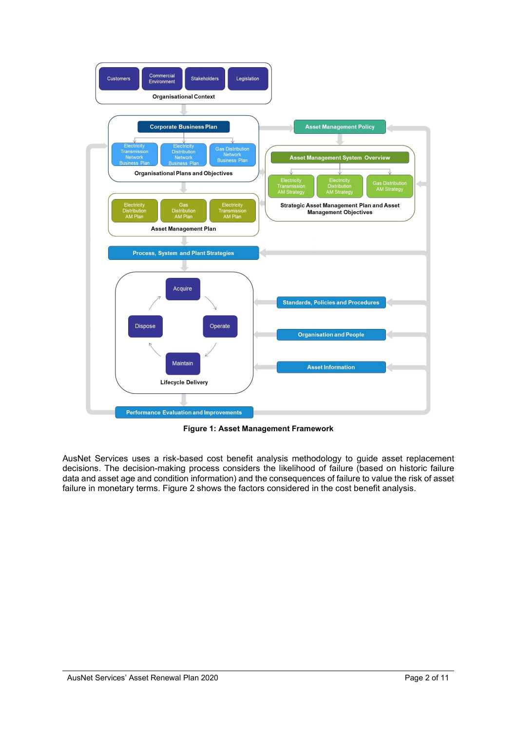

Figure 1: Asset Management Framework

AusNet Services uses a risk-based cost benefit analysis methodology to guide asset replacement decisions. The decision-making process considers the likelihood of failure (based on historic failure data and asset age and condition information) and the consequences of failure to value the risk of asset failure in monetary terms. Figure 2 shows the factors considered in the cost benefit analysis.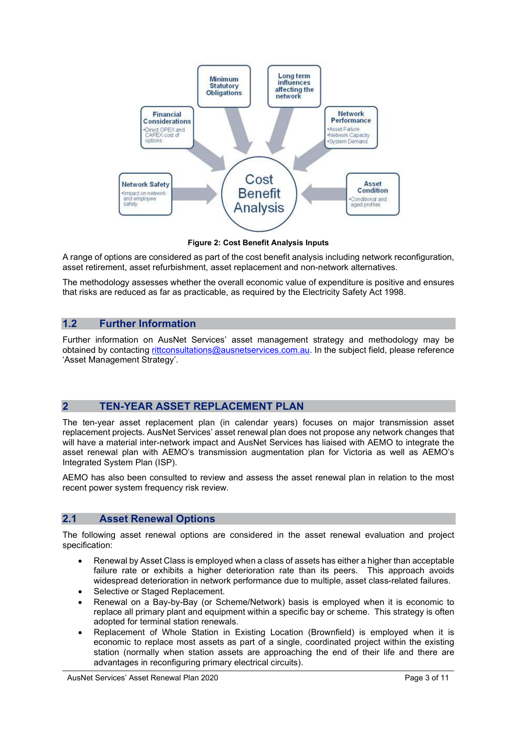

Figure 2: Cost Benefit Analysis Inputs

A range of options are considered as part of the cost benefit analysis including network reconfiguration, asset retirement, asset refurbishment, asset replacement and non-network alternatives.

The methodology assesses whether the overall economic value of expenditure is positive and ensures that risks are reduced as far as practicable, as required by the Electricity Safety Act 1998.

#### 1.2 Further Information

Further information on AusNet Services' asset management strategy and methodology may be obtained by contacting rittconsultations@ausnetservices.com.au. In the subject field, please reference 'Asset Management Strategy'.

## 2 TEN-YEAR ASSET REPLACEMENT PLAN

The ten-year asset replacement plan (in calendar years) focuses on major transmission asset replacement projects. AusNet Services' asset renewal plan does not propose any network changes that will have a material inter-network impact and AusNet Services has liaised with AEMO to integrate the asset renewal plan with AEMO's transmission augmentation plan for Victoria as well as AEMO's Integrated System Plan (ISP).

AEMO has also been consulted to review and assess the asset renewal plan in relation to the most recent power system frequency risk review.

#### 2.1 Asset Renewal Options

The following asset renewal options are considered in the asset renewal evaluation and project specification:

- Renewal by Asset Class is employed when a class of assets has either a higher than acceptable failure rate or exhibits a higher deterioration rate than its peers. This approach avoids widespread deterioration in network performance due to multiple, asset class-related failures.
- Selective or Staged Replacement.
- Renewal on a Bay-by-Bay (or Scheme/Network) basis is employed when it is economic to replace all primary plant and equipment within a specific bay or scheme. This strategy is often adopted for terminal station renewals.
- Replacement of Whole Station in Existing Location (Brownfield) is employed when it is economic to replace most assets as part of a single, coordinated project within the existing station (normally when station assets are approaching the end of their life and there are advantages in reconfiguring primary electrical circuits).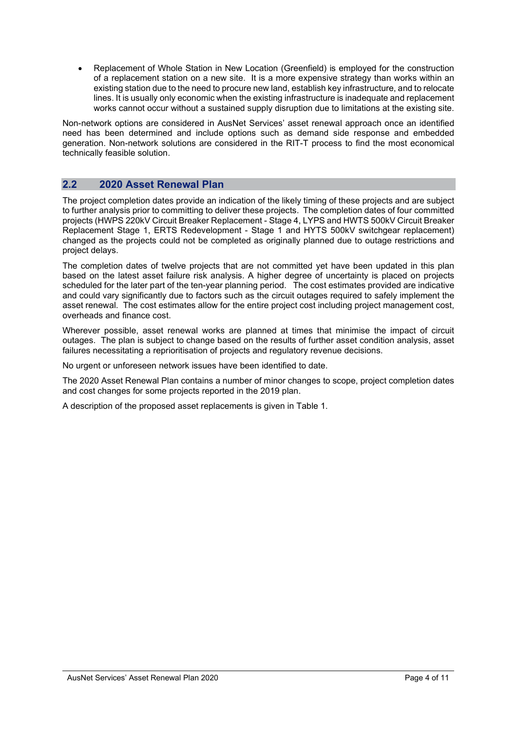Replacement of Whole Station in New Location (Greenfield) is employed for the construction of a replacement station on a new site. It is a more expensive strategy than works within an existing station due to the need to procure new land, establish key infrastructure, and to relocate lines. It is usually only economic when the existing infrastructure is inadequate and replacement works cannot occur without a sustained supply disruption due to limitations at the existing site.

Non-network options are considered in AusNet Services' asset renewal approach once an identified need has been determined and include options such as demand side response and embedded generation. Non-network solutions are considered in the RIT-T process to find the most economical technically feasible solution.

### 2.2 2020 Asset Renewal Plan

The project completion dates provide an indication of the likely timing of these projects and are subject to further analysis prior to committing to deliver these projects. The completion dates of four committed projects (HWPS 220kV Circuit Breaker Replacement - Stage 4, LYPS and HWTS 500kV Circuit Breaker Replacement Stage 1, ERTS Redevelopment - Stage 1 and HYTS 500kV switchgear replacement) changed as the projects could not be completed as originally planned due to outage restrictions and project delays.

The completion dates of twelve projects that are not committed yet have been updated in this plan based on the latest asset failure risk analysis. A higher degree of uncertainty is placed on projects scheduled for the later part of the ten-year planning period. The cost estimates provided are indicative and could vary significantly due to factors such as the circuit outages required to safely implement the asset renewal. The cost estimates allow for the entire project cost including project management cost, overheads and finance cost.

Wherever possible, asset renewal works are planned at times that minimise the impact of circuit outages. The plan is subject to change based on the results of further asset condition analysis, asset failures necessitating a reprioritisation of projects and regulatory revenue decisions.

No urgent or unforeseen network issues have been identified to date.

The 2020 Asset Renewal Plan contains a number of minor changes to scope, project completion dates and cost changes for some projects reported in the 2019 plan.

A description of the proposed asset replacements is given in Table 1.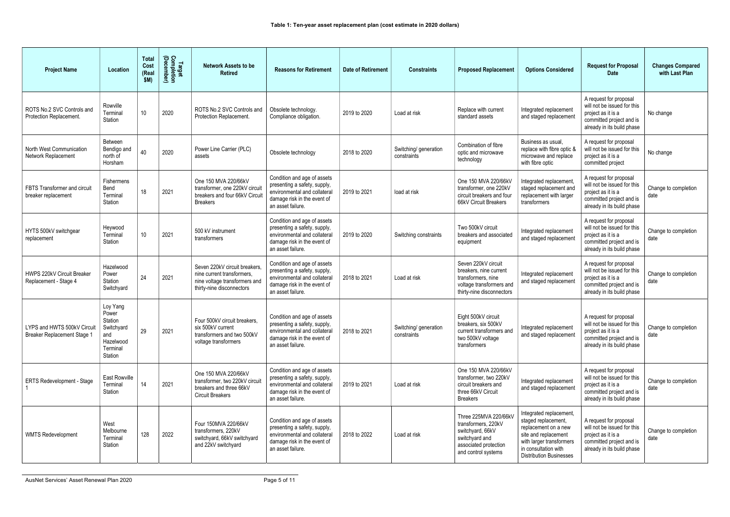| <b>Project Name</b>                                               | Location                                                                              | <b>Total</b><br>Cost<br>(Real<br>\$M) | Target<br>Completion<br>(December) | <b>Network Assets to be</b><br><b>Retired</b>                                                                             | <b>Reasons for Retirement</b>                                                                                                                   | <b>Date of Retirement</b> | <b>Constraints</b>                   | <b>Proposed Replacement</b>                                                                                                        | <b>Options Considered</b>                                                                                                                                                            | <b>Request for Proposal</b><br><b>Date</b>                                                                                            | <b>Changes Compared</b><br>with Last Plan |
|-------------------------------------------------------------------|---------------------------------------------------------------------------------------|---------------------------------------|------------------------------------|---------------------------------------------------------------------------------------------------------------------------|-------------------------------------------------------------------------------------------------------------------------------------------------|---------------------------|--------------------------------------|------------------------------------------------------------------------------------------------------------------------------------|--------------------------------------------------------------------------------------------------------------------------------------------------------------------------------------|---------------------------------------------------------------------------------------------------------------------------------------|-------------------------------------------|
| ROTS No.2 SVC Controls and<br>Protection Replacement.             | Rowville<br>Terminal<br>Station                                                       | 10 <sup>°</sup>                       | 2020                               | ROTS No.2 SVC Controls and<br>Protection Replacement.                                                                     | Obsolete technology.<br>Compliance obligation.                                                                                                  | 2019 to 2020              | Load at risk                         | Replace with current<br>standard assets                                                                                            | Integrated replacement<br>and staged replacement                                                                                                                                     | A request for proposal<br>will not be issued for this<br>project as it is a<br>committed project and is<br>already in its build phase | No change                                 |
| North West Communication<br>Network Replacement                   | Between<br>Bendigo and<br>north of<br>Horsham                                         | 40                                    | 2020                               | Power Line Carrier (PLC)<br>assets                                                                                        | Obsolete technology                                                                                                                             | 2018 to 2020              | Switching/ generation<br>constraints | Combination of fibre<br>optic and microwave<br>technology                                                                          | Business as usual.<br>replace with fibre optic &<br>microwave and replace<br>with fibre optic                                                                                        | A request for proposal<br>will not be issued for this<br>project as it is a<br>committed project                                      | No change                                 |
| FBTS Transformer and circuit<br>breaker replacement               | Fishermens<br>Bend<br>Terminal<br>Station                                             | 18                                    | 2021                               | One 150 MVA 220/66kV<br>transformer, one 220kV circuit<br>breakers and four 66kV Circui<br><b>Breakers</b>                | Condition and age of assets<br>presenting a safety, supply,<br>environmental and collateral<br>damage risk in the event of<br>an asset failure. | 2019 to 2021              | load at risk                         | One 150 MVA 220/66kV<br>transformer, one 220kV<br>circuit breakers and four<br>66kV Circuit Breakers                               | Integrated replacement<br>staged replacement and<br>replacement with larger<br>transformers                                                                                          | A request for proposal<br>will not be issued for this<br>project as it is a<br>committed project and is<br>already in its build phase | Change to completion<br>date              |
| HYTS 500kV switchgear<br>replacement                              | Heywood<br>Terminal<br>Station                                                        | 10                                    | 2021                               | 500 kV instrument<br>transformers                                                                                         | Condition and age of assets<br>presenting a safety, supply,<br>environmental and collateral<br>damage risk in the event of<br>an asset failure. | 2019 to 2020              | Switching constraints                | Two 500kV circuit<br>breakers and associated<br>equipment                                                                          | Integrated replacement<br>and staged replacement                                                                                                                                     | A request for proposal<br>will not be issued for this<br>project as it is a<br>committed project and is<br>already in its build phase | Change to completion<br>date              |
| HWPS 220kV Circuit Breaker<br>Replacement - Stage 4               | Hazelwood<br>Power<br>Station<br>Switchyard                                           | 24                                    | 2021                               | Seven 220kV circuit breakers,<br>nine current transformers,<br>nine voltage transformers and<br>thirty-nine disconnectors | Condition and age of assets<br>presenting a safety, supply,<br>environmental and collateral<br>damage risk in the event of<br>an asset failure. | 2018 to 2021              | Load at risk                         | Seven 220kV circuit<br>breakers, nine current<br>transformers, nine<br>voltage transformers and<br>thirty-nine disconnectors       | Integrated replacement<br>and staged replacement                                                                                                                                     | A request for proposal<br>will not be issued for this<br>project as it is a<br>committed project and is<br>already in its build phase | Change to completion<br>date              |
| LYPS and HWTS 500kV Circuit<br><b>Breaker Replacement Stage 1</b> | Loy Yang<br>Power<br>Station<br>Switchyard<br>and<br>Hazelwood<br>Terminal<br>Station | 29                                    | 2021                               | Four 500kV circuit breakers,<br>six 500kV current<br>transformers and two 500kV<br>voltage transformers                   | Condition and age of assets<br>presenting a safety, supply,<br>environmental and collateral<br>damage risk in the event of<br>an asset failure. | 2018 to 2021              | Switching/ generation<br>constraints | Eight 500kV circuit<br>breakers, six 500kV<br>current transformers and<br>two 500kV voltage<br>transformers                        | Integrated replacement<br>and staged replacement                                                                                                                                     | A request for proposal<br>will not be issued for this<br>project as it is a<br>committed project and is<br>already in its build phase | Change to completion<br>date              |
| ERTS Redevelopment - Stage                                        | East Rowville<br>Terminal<br>Station                                                  | 14                                    | 2021                               | One 150 MVA 220/66kV<br>transformer, two 220kV circuit<br>breakers and three 66kV<br><b>Circuit Breakers</b>              | Condition and age of assets<br>presenting a safety, supply,<br>environmental and collateral<br>damage risk in the event of<br>an asset failure. | 2019 to 2021              | Load at risk                         | One 150 MVA 220/66kV<br>transformer, two 220kV<br>circuit breakers and<br>three 66kV Circuit<br><b>Breakers</b>                    | Integrated replacement<br>and staged replacement                                                                                                                                     | A request for proposal<br>will not be issued for this<br>project as it is a<br>committed project and is<br>already in its build phase | Change to completion<br>date              |
| <b>WMTS Redevelopment</b>                                         | West<br>Melbourne<br>Terminal<br>Station                                              | 128                                   | 2022                               | Four 150MVA 220/66kV<br>transformers, 220kV<br>switchyard, 66kV switchyard<br>and 22kV switchyard                         | Condition and age of assets<br>presenting a safety, supply,<br>environmental and collateral<br>damage risk in the event of<br>an asset failure. | 2018 to 2022              | Load at risk                         | Three 225MVA 220/66kV<br>transformers, 220kV<br>switchyard, 66kV<br>switchyard and<br>associated protection<br>and control systems | Integrated replacement,<br>staged replacement,<br>replacement on a new<br>site and replacement<br>with larger transformers<br>in consultation with<br><b>Distribution Businesses</b> | A request for proposal<br>will not be issued for this<br>project as it is a<br>committed project and is<br>already in its build phase | Change to completion<br>date              |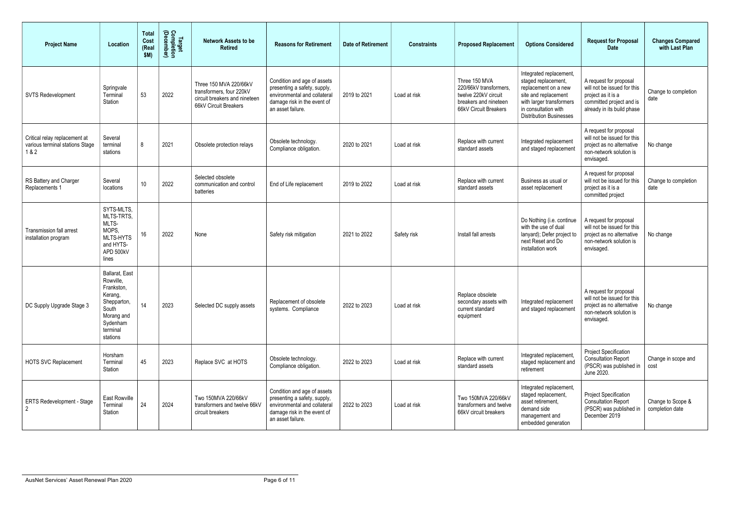| <b>Project Name</b>                                                       | Location                                                                                                                       | <b>Total</b><br>Cost<br>(Real<br>\$M) | Target<br>Completion<br>(December) | <b>Network Assets to be</b><br><b>Retired</b>                                                                | <b>Reasons for Retirement</b>                                                                                                                   | <b>Date of Retirement</b> | <b>Constraints</b> | <b>Proposed Replacement</b>                                                                                      | <b>Options Considered</b>                                                                                                                                                            | <b>Request for Proposal</b><br><b>Date</b>                                                                                            | <b>Changes Compared</b><br>with Last Plan |
|---------------------------------------------------------------------------|--------------------------------------------------------------------------------------------------------------------------------|---------------------------------------|------------------------------------|--------------------------------------------------------------------------------------------------------------|-------------------------------------------------------------------------------------------------------------------------------------------------|---------------------------|--------------------|------------------------------------------------------------------------------------------------------------------|--------------------------------------------------------------------------------------------------------------------------------------------------------------------------------------|---------------------------------------------------------------------------------------------------------------------------------------|-------------------------------------------|
| <b>SVTS Redevelopment</b>                                                 | Springvale<br>Terminal<br>Station                                                                                              | 53                                    | 2022                               | Three 150 MVA 220/66kV<br>transformers, four 220kV<br>circuit breakers and nineteen<br>66kV Circuit Breakers | Condition and age of assets<br>presenting a safety, supply,<br>environmental and collateral<br>damage risk in the event of<br>an asset failure. | 2019 to 2021              | Load at risk       | Three 150 MVA<br>220/66kV transformers<br>twelve 220kV circuit<br>breakers and nineteen<br>66kV Circuit Breakers | Integrated replacement,<br>staged replacement,<br>replacement on a new<br>site and replacement<br>with larger transformers<br>in consultation with<br><b>Distribution Businesses</b> | A request for proposal<br>will not be issued for this<br>project as it is a<br>committed project and is<br>already in its build phase | Change to completion<br>date              |
| Critical relay replacement at<br>various terminal stations Stage<br>1 & 2 | Several<br>terminal<br>stations                                                                                                | 8                                     | 2021                               | Obsolete protection relays                                                                                   | Obsolete technology.<br>Compliance obligation.                                                                                                  | 2020 to 2021              | Load at risk       | Replace with current<br>standard assets                                                                          | Integrated replacement<br>and staged replacement                                                                                                                                     | A request for proposal<br>will not be issued for this<br>project as no alternative<br>non-network solution is<br>envisaged.           | No change                                 |
| RS Battery and Charger<br>Replacements 1                                  | Several<br>locations                                                                                                           | 10                                    | 2022                               | Selected obsolete<br>communication and control<br>batteries                                                  | End of Life replacement                                                                                                                         | 2019 to 2022              | Load at risk       | Replace with current<br>standard assets                                                                          | Business as usual or<br>asset replacement                                                                                                                                            | A request for proposal<br>will not be issued for this<br>project as it is a<br>committed project                                      | Change to completion<br>date              |
| <b>Transmission fall arrest</b><br>installation program                   | SYTS-MLTS,<br>MLTS-TRTS,<br>MLTS-<br>MOPS.<br>MLTS-HYTS<br>and HYTS-<br>APD 500kV<br>lines                                     | 16                                    | 2022                               | None                                                                                                         | Safety risk mitigation                                                                                                                          | 2021 to 2022              | Safety risk        | Install fall arrests                                                                                             | Do Nothing (i.e. continue<br>with the use of dual<br>lanyard); Defer project to<br>next Reset and Do<br>installation work                                                            | A request for proposal<br>will not be issued for this<br>project as no alternative<br>non-network solution is<br>envisaged.           | No change                                 |
| DC Supply Upgrade Stage 3                                                 | Ballarat, East<br>Rowville,<br>Frankston,<br>Kerang,<br>Shepparton,<br>South<br>Morang and<br>Sydenham<br>terminal<br>stations | 14                                    | 2023                               | Selected DC supply assets                                                                                    | Replacement of obsolete<br>systems. Compliance                                                                                                  | 2022 to 2023              | Load at risk       | Replace obsolete<br>secondary assets with<br>current standard<br>equipment                                       | Integrated replacement<br>and staged replacement                                                                                                                                     | A request for proposal<br>will not be issued for this<br>project as no alternative<br>non-network solution is<br>envisaged.           | No change                                 |
| <b>HOTS SVC Replacement</b>                                               | Horsham<br>Terminal<br>Station                                                                                                 | 45                                    | 2023                               | Replace SVC at HOTS                                                                                          | Obsolete technology.<br>Compliance obligation.                                                                                                  | 2022 to 2023              | Load at risk       | Replace with current<br>standard assets                                                                          | Integrated replacement,<br>staged replacement and<br>retirement                                                                                                                      | <b>Project Specification</b><br><b>Consultation Report</b><br>(PSCR) was published in<br>June 2020.                                   | Change in scope and<br>cost               |
| <b>ERTS Redevelopment - Stage</b><br>$\overline{2}$                       | East Rowville<br>Terminal<br>Station                                                                                           | 24                                    | 2024                               | Two 150MVA 220/66kV<br>transformers and twelve 66kV<br>circuit breakers                                      | Condition and age of assets<br>presenting a safety, supply,<br>environmental and collateral<br>damage risk in the event of<br>an asset failure. | 2022 to 2023              | Load at risk       | Two 150MVA 220/66kV<br>transformers and twelve<br>66kV circuit breakers                                          | Integrated replacement,<br>staged replacement,<br>asset retirement,<br>demand side<br>management and<br>embedded generation                                                          | Project Specification<br><b>Consultation Report</b><br>(PSCR) was published in<br>December 2019                                       | Change to Scope &<br>completion date      |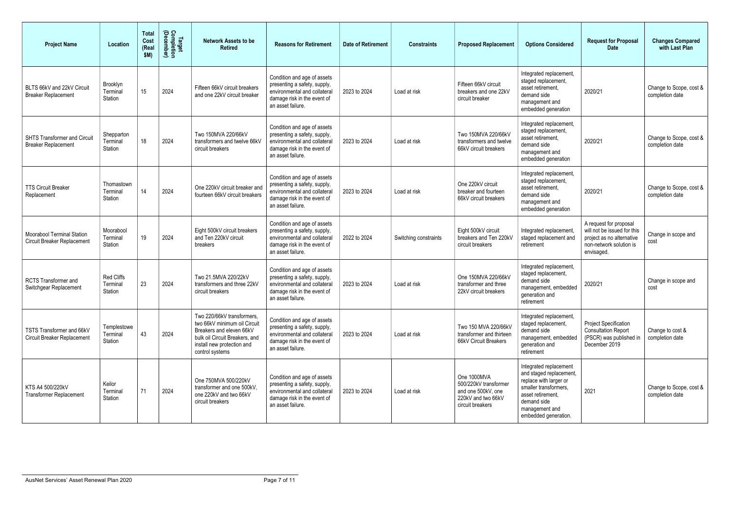| <b>Project Name</b>                                                     | Location                           | <b>Total</b><br>Cost<br>(Real<br>\$M) | Target<br>Completion<br>(December) | <b>Network Assets to be</b><br><b>Retired</b>                                                                                                                             | <b>Reasons for Retirement</b>                                                                                                                   | <b>Date of Retirement</b> | <b>Constraints</b>    | <b>Proposed Replacement</b>                                                                          | <b>Options Considered</b>                                                                                                                                                          | <b>Request for Proposal</b><br><b>Date</b>                                                                                  | <b>Changes Compared</b><br>with Last Plan  |
|-------------------------------------------------------------------------|------------------------------------|---------------------------------------|------------------------------------|---------------------------------------------------------------------------------------------------------------------------------------------------------------------------|-------------------------------------------------------------------------------------------------------------------------------------------------|---------------------------|-----------------------|------------------------------------------------------------------------------------------------------|------------------------------------------------------------------------------------------------------------------------------------------------------------------------------------|-----------------------------------------------------------------------------------------------------------------------------|--------------------------------------------|
| BLTS 66kV and 22kV Circuit<br><b>Breaker Replacement</b>                | Brooklyn<br>Terminal<br>Station    | 15                                    | 2024                               | Fifteen 66kV circuit breakers<br>and one 22kV circuit breaker                                                                                                             | Condition and age of assets<br>presenting a safety, supply,<br>environmental and collateral<br>damage risk in the event of<br>an asset failure. | 2023 to 2024              | Load at risk          | Fifteen 66kV circuit<br>breakers and one 22kV<br>circuit breaker                                     | Integrated replacement,<br>staged replacement,<br>asset retirement.<br>demand side<br>management and<br>embedded generation                                                        | 2020/21                                                                                                                     | Change to Scope, cost &<br>completion date |
| <b>SHTS Transformer and Circuit</b><br><b>Breaker Replacement</b>       | Shepparton<br>Terminal<br>Station  | 18                                    | 2024                               | Two 150MVA 220/66kV<br>transformers and twelve 66kV<br>circuit breakers                                                                                                   | Condition and age of assets<br>presenting a safety, supply,<br>environmental and collateral<br>damage risk in the event of<br>an asset failure. | 2023 to 2024              | Load at risk          | Two 150MVA 220/66kV<br>transformers and twelve<br>66kV circuit breakers                              | Integrated replacement,<br>staged replacement,<br>asset retirement,<br>demand side<br>management and<br>embedded generation                                                        | 2020/21                                                                                                                     | Change to Scope, cost &<br>completion date |
| <b>TTS Circuit Breaker</b><br>Replacement                               | Thomastown<br>Terminal<br>Station  | 14                                    | 2024                               | One 220kV circuit breaker and<br>fourteen 66kV circuit breakers                                                                                                           | Condition and age of assets<br>presenting a safety, supply,<br>environmental and collateral<br>damage risk in the event of<br>an asset failure. | 2023 to 2024              | Load at risk          | One 220kV circuit<br>breaker and fourteen<br>66kV circuit breakers                                   | Integrated replacement,<br>staged replacement,<br>asset retirement.<br>demand side<br>management and<br>embedded generation                                                        | 2020/21                                                                                                                     | Change to Scope, cost &<br>completion date |
| <b>Moorabool Terminal Station</b><br><b>Circuit Breaker Replacement</b> | Moorabool<br>Terminal<br>Station   | 19                                    | 2024                               | Eight 500kV circuit breakers<br>and Ten 220kV circuit<br>breakers                                                                                                         | Condition and age of assets<br>presenting a safety, supply,<br>environmental and collateral<br>damage risk in the event of<br>an asset failure. | 2022 to 2024              | Switching constraints | Eight 500kV circuit<br>breakers and Ten 220kV<br>circuit breakers                                    | Integrated replacement<br>staged replacement and<br>retirement                                                                                                                     | A request for proposal<br>will not be issued for this<br>project as no alternative<br>non-network solution is<br>envisaged. | Change in scope and<br>cost                |
| <b>RCTS Transformer and</b><br>Switchgear Replacement                   | Red Cliffs<br>Terminal<br>Station  | 23                                    | 2024                               | Two 21.5MVA 220/22kV<br>transformers and three 22kV<br>circuit breakers                                                                                                   | Condition and age of assets<br>presenting a safety, supply,<br>environmental and collateral<br>damage risk in the event of<br>an asset failure. | 2023 to 2024              | Load at risk          | One 150MVA 220/66kV<br>transformer and three<br>22kV circuit breakers                                | Integrated replacement,<br>staged replacement,<br>demand side<br>management, embedded<br>generation and<br>retirement                                                              | 2020/21                                                                                                                     | Change in scope and<br>cost                |
| TSTS Transformer and 66kV<br><b>Circuit Breaker Replacement</b>         | Templestowe<br>Terminal<br>Station | 43                                    | 2024                               | Two 220/66kV transformers,<br>two 66kV minimum oil Circuit<br>Breakers and eleven 66kV<br>bulk oil Circuit Breakers, and<br>install new protection and<br>control systems | Condition and age of assets<br>presenting a safety, supply,<br>environmental and collateral<br>damage risk in the event of<br>an asset failure. | 2023 to 2024              | Load at risk          | Two 150 MVA 220/66kV<br>transformer and thirteen<br>66kV Circuit Breakers                            | Integrated replacement,<br>staged replacement,<br>demand side<br>management, embedded<br>generation and<br>retirement                                                              | <b>Project Specification</b><br><b>Consultation Report</b><br>(PSCR) was published in<br>December 2019                      | Change to cost &<br>completion date        |
| KTS A4 500/220kV<br><b>Transformer Replacement</b>                      | Keilor<br>Terminal<br>Station      | 71                                    | 2024                               | One 750MVA 500/220kV<br>transformer and one 500kV,<br>one 220kV and two 66kV<br>circuit breakers                                                                          | Condition and age of assets<br>presenting a safety, supply,<br>environmental and collateral<br>damage risk in the event of<br>an asset failure. | 2023 to 2024              | Load at risk          | One 1000MVA<br>500/220kV transformer<br>and one 500kV, one<br>220kV and two 66kV<br>circuit breakers | Integrated replacement<br>and staged replacement,<br>replace with larger or<br>smaller transformers,<br>asset retirement,<br>demand side<br>management and<br>embedded generation. | 2021                                                                                                                        | Change to Scope, cost &<br>completion date |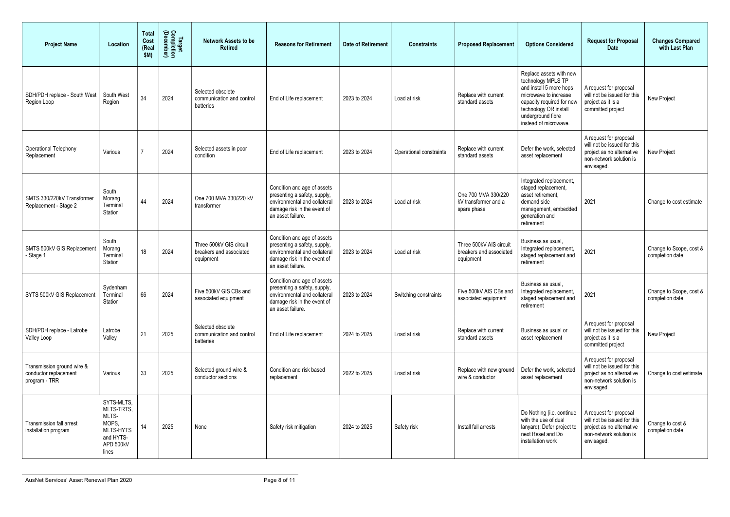| <b>Project Name</b>                                                  | Location                                                                                   | <b>Total</b><br>Cost<br>(Real<br>\$M) | <b>Target<br/>Completion<br/>(December)</b> | <b>Network Assets to be</b><br><b>Retired</b>                   | <b>Reasons for Retirement</b>                                                                                                                   | <b>Date of Retirement</b> | <b>Constraints</b>      | <b>Proposed Replacement</b>                                     | <b>Options Considered</b>                                                                                                                                                                             | <b>Request for Proposal</b><br><b>Date</b>                                                                                  | <b>Changes Compared</b><br>with Last Plan  |
|----------------------------------------------------------------------|--------------------------------------------------------------------------------------------|---------------------------------------|---------------------------------------------|-----------------------------------------------------------------|-------------------------------------------------------------------------------------------------------------------------------------------------|---------------------------|-------------------------|-----------------------------------------------------------------|-------------------------------------------------------------------------------------------------------------------------------------------------------------------------------------------------------|-----------------------------------------------------------------------------------------------------------------------------|--------------------------------------------|
| SDH/PDH replace - South West<br>Region Loop                          | South West<br>Region                                                                       | 34                                    | 2024                                        | Selected obsolete<br>communication and control<br>batteries     | End of Life replacement                                                                                                                         | 2023 to 2024              | Load at risk            | Replace with current<br>standard assets                         | Replace assets with new<br>technology MPLS TP<br>and install 5 more hops<br>microwave to increase<br>capacity required for new<br>technology OR install<br>underground fibre<br>instead of microwave. | A request for proposal<br>will not be issued for this<br>project as it is a<br>committed project                            | New Project                                |
| Operational Telephony<br>Replacement                                 | Various                                                                                    |                                       | 2024                                        | Selected assets in poor<br>condition                            | End of Life replacement                                                                                                                         | 2023 to 2024              | Operational constraints | Replace with current<br>standard assets                         | Defer the work, selected<br>asset replacement                                                                                                                                                         | A request for proposal<br>will not be issued for this<br>project as no alternative<br>non-network solution is<br>envisaged. | New Project                                |
| SMTS 330/220kV Transformer<br>Replacement - Stage 2                  | South<br>Morang<br>Terminal<br>Station                                                     | 44                                    | 2024                                        | One 700 MVA 330/220 kV<br>transformer                           | Condition and age of assets<br>presenting a safety, supply,<br>environmental and collateral<br>damage risk in the event of<br>an asset failure. | 2023 to 2024              | Load at risk            | One 700 MVA 330/220<br>kV transformer and a<br>spare phase      | Integrated replacement,<br>staged replacement,<br>asset retirement,<br>demand side<br>management, embedded<br>generation and<br>retirement                                                            | 2021                                                                                                                        | Change to cost estimate                    |
| SMTS 500kV GIS Replacement<br>- Stage '                              | South<br>Morang<br>Terminal<br>Station                                                     | 18                                    | 2024                                        | Three 500kV GIS circuit<br>breakers and associated<br>equipment | Condition and age of assets<br>presenting a safety, supply,<br>environmental and collateral<br>damage risk in the event of<br>an asset failure. | 2023 to 2024              | Load at risk            | Three 500kV AIS circuit<br>breakers and associated<br>equipment | Business as usual,<br>Integrated replacement,<br>staged replacement and<br>retirement                                                                                                                 | 2021                                                                                                                        | Change to Scope, cost &<br>completion date |
| SYTS 500kV GIS Replacement                                           | Sydenham<br>Terminal<br>Station                                                            | 66                                    | 2024                                        | Five 500kV GIS CBs and<br>associated equipment                  | Condition and age of assets<br>presenting a safety, supply,<br>environmental and collateral<br>damage risk in the event of<br>an asset failure. | 2023 to 2024              | Switching constraints   | Five 500kV AIS CBs and<br>associated equipment                  | Business as usual<br>Integrated replacement,<br>staged replacement and<br>retirement                                                                                                                  | 2021                                                                                                                        | Change to Scope, cost &<br>completion date |
| SDH/PDH replace - Latrobe<br>Valley Loop                             | Latrobe<br>Valley                                                                          | 21                                    | 2025                                        | Selected obsolete<br>communication and control<br>batteries     | End of Life replacement                                                                                                                         | 2024 to 2025              | Load at risk            | Replace with current<br>standard assets                         | Business as usual or<br>asset replacement                                                                                                                                                             | A request for proposal<br>will not be issued for this<br>project as it is a<br>committed project                            | New Project                                |
| Transmission ground wire &<br>conductor replacement<br>program - TRR | Various                                                                                    | 33                                    | 2025                                        | Selected ground wire &<br>conductor sections                    | Condition and risk based<br>replacement                                                                                                         | 2022 to 2025              | Load at risk            | Replace with new ground<br>wire & conductor                     | Defer the work, selected<br>asset replacement                                                                                                                                                         | A request for proposal<br>will not be issued for this<br>project as no alternative<br>non-network solution is<br>envisaged. | Change to cost estimate                    |
| <b>Transmission fall arrest</b><br>installation program              | SYTS-MLTS.<br>MLTS-TRTS,<br>MLTS-<br>MOPS,<br>MLTS-HYTS<br>and HYTS-<br>APD 500kV<br>lines | 14                                    | 2025                                        | None                                                            | Safety risk mitigation                                                                                                                          | 2024 to 2025              | Safety risk             | Install fall arrests                                            | Do Nothing (i.e. continue<br>with the use of dual<br>lanyard); Defer project to<br>next Reset and Do<br>installation work                                                                             | A request for proposal<br>will not be issued for this<br>project as no alternative<br>non-network solution is<br>envisaged. | Change to cost &<br>completion date        |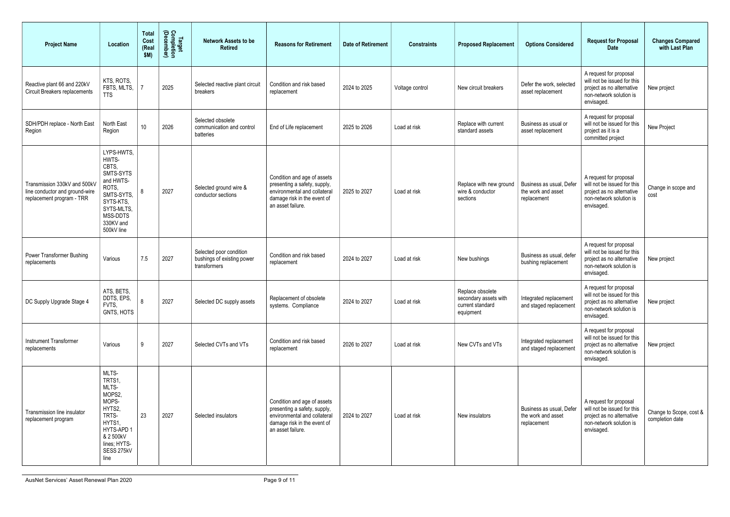| <b>Project Name</b>                                                                         | Location                                                                                                                                        | <b>Total</b><br>Cost<br>(Real<br>\$M) | Target<br>Completion<br>(December) | <b>Network Assets to be</b><br><b>Retired</b>                         | <b>Reasons for Retirement</b>                                                                                                                   | <b>Date of Retirement</b> | <b>Constraints</b> | <b>Proposed Replacement</b>                                                | <b>Options Considered</b>                                     | <b>Request for Proposal</b><br><b>Date</b>                                                                                  | <b>Changes Compared</b><br>with Last Plan  |
|---------------------------------------------------------------------------------------------|-------------------------------------------------------------------------------------------------------------------------------------------------|---------------------------------------|------------------------------------|-----------------------------------------------------------------------|-------------------------------------------------------------------------------------------------------------------------------------------------|---------------------------|--------------------|----------------------------------------------------------------------------|---------------------------------------------------------------|-----------------------------------------------------------------------------------------------------------------------------|--------------------------------------------|
| Reactive plant 66 and 220kV<br><b>Circuit Breakers replacements</b>                         | KTS, ROTS,<br>FBTS, MLTS,<br><b>TTS</b>                                                                                                         |                                       | 2025                               | Selected reactive plant circuit<br>breakers                           | Condition and risk based<br>replacement                                                                                                         | 2024 to 2025              | Voltage control    | New circuit breakers                                                       | Defer the work, selected<br>asset replacement                 | A request for proposal<br>will not be issued for this<br>project as no alternative<br>non-network solution is<br>envisaged. | New project                                |
| SDH/PDH replace - North East<br>Region                                                      | North East<br>Region                                                                                                                            | 10 <sup>1</sup>                       | 2026                               | Selected obsolete<br>communication and control<br>batteries           | End of Life replacement                                                                                                                         | 2025 to 2026              | Load at risk       | Replace with current<br>standard assets                                    | Business as usual or<br>asset replacement                     | A request for proposal<br>will not be issued for this<br>project as it is a<br>committed project                            | New Project                                |
| Transmission 330kV and 500kV<br>line conductor and ground-wire<br>replacement program - TRR | LYPS-HWTS,<br>HWTS-<br>CBTS,<br>SMTS-SYTS<br>and HWTS-<br>ROTS,<br>SMTS-SYTS,<br>SYTS-KTS,<br>SYTS-MLTS,<br>MSS-DDTS<br>330KV and<br>500kV line |                                       | 2027                               | Selected ground wire &<br>conductor sections                          | Condition and age of assets<br>presenting a safety, supply,<br>environmental and collateral<br>damage risk in the event of<br>an asset failure. | 2025 to 2027              | Load at risk       | Replace with new ground<br>wire & conductor<br>sections                    | Business as usual, Defer<br>the work and asset<br>replacement | A request for proposal<br>will not be issued for this<br>project as no alternative<br>non-network solution is<br>envisaged. | Change in scope and<br>cost                |
| <b>Power Transformer Bushing</b><br>replacements                                            | Various                                                                                                                                         | 7.5                                   | 2027                               | Selected poor condition<br>bushings of existing power<br>transformers | Condition and risk based<br>replacement                                                                                                         | 2024 to 2027              | Load at risk       | New bushings                                                               | Business as usual, defer<br>bushing replacement               | A request for proposal<br>will not be issued for this<br>project as no alternative<br>non-network solution is<br>envisaged. | New project                                |
| DC Supply Upgrade Stage 4                                                                   | ATS, BETS,<br>DDTS, EPS,<br>FVTS,<br>GNTS, HOTS                                                                                                 | 8                                     | 2027                               | Selected DC supply assets                                             | Replacement of obsolete<br>systems. Compliance                                                                                                  | 2024 to 2027              | Load at risk       | Replace obsolete<br>secondary assets with<br>current standard<br>equipment | Integrated replacement<br>and staged replacement              | A request for proposal<br>will not be issued for this<br>project as no alternative<br>non-network solution is<br>envisaged. | New project                                |
| Instrument Transformer<br>replacements                                                      | Various                                                                                                                                         | 9                                     | 2027                               | Selected CVTs and VTs                                                 | Condition and risk based<br>replacement                                                                                                         | 2026 to 2027              | Load at risk       | New CVTs and VTs                                                           | Integrated replacement<br>and staged replacement              | A request for proposal<br>will not be issued for this<br>project as no alternative<br>non-network solution is<br>envisaged. | New project                                |
| Transmission line insulator<br>replacement program                                          | MLTS-<br>TRTS1,<br>MLTS-<br>MOPS2,<br>MOPS-<br>HYTS2,<br>TRTS-<br>HYTS1,<br>HYTS-APD 1<br>& 2 500kV<br>lines; HYTS-<br>SESS 275kV<br>line       | 23                                    | 2027                               | Selected insulators                                                   | Condition and age of assets<br>presenting a safety, supply,<br>environmental and collateral<br>damage risk in the event of<br>an asset failure. | 2024 to 2027              | Load at risk       | New insulators                                                             | Business as usual, Defer<br>the work and asset<br>replacement | A request for proposal<br>will not be issued for this<br>project as no alternative<br>non-network solution is<br>envisaged. | Change to Scope, cost &<br>completion date |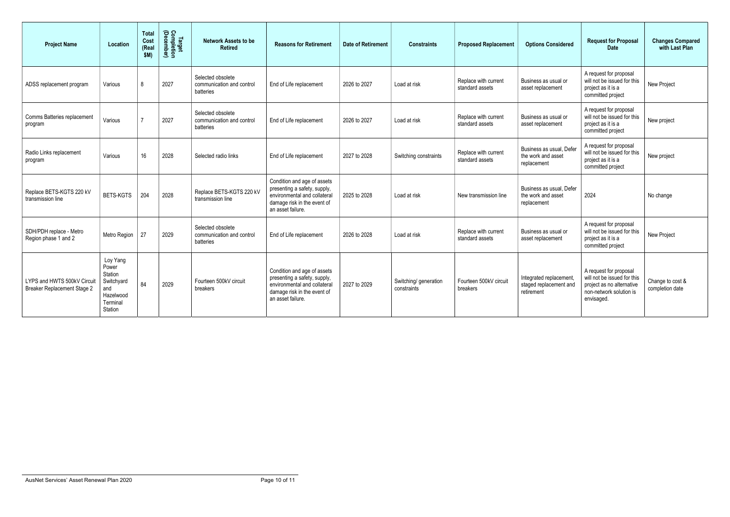| <b>Project Name</b>                                               | Location                                                                              | <b>Total</b><br>Cost<br>(Real<br>\$M) | Target<br>Completion<br>(December) | <b>Network Assets to be</b><br><b>Retired</b>               | <b>Reasons for Retirement</b>                                                                                                                   | <b>Date of Retirement</b> | <b>Constraints</b>                   | <b>Proposed Replacement</b>             | <b>Options Considered</b>                                      | <b>Request for Proposal</b><br><b>Date</b>                                                                                  | <b>Changes Compared</b><br>with Last Plan |
|-------------------------------------------------------------------|---------------------------------------------------------------------------------------|---------------------------------------|------------------------------------|-------------------------------------------------------------|-------------------------------------------------------------------------------------------------------------------------------------------------|---------------------------|--------------------------------------|-----------------------------------------|----------------------------------------------------------------|-----------------------------------------------------------------------------------------------------------------------------|-------------------------------------------|
| ADSS replacement program                                          | Various                                                                               | 8                                     | 2027                               | Selected obsolete<br>communication and control<br>batteries | End of Life replacement                                                                                                                         | 2026 to 2027              | Load at risk                         | Replace with current<br>standard assets | Business as usual or<br>asset replacement                      | A request for proposal<br>will not be issued for this<br>project as it is a<br>committed project                            | New Project                               |
| Comms Batteries replacement<br>program                            | Various                                                                               |                                       | 2027                               | Selected obsolete<br>communication and control<br>batteries | End of Life replacement                                                                                                                         | 2026 to 2027              | Load at risk                         | Replace with current<br>standard assets | Business as usual or<br>asset replacement                      | A request for proposal<br>will not be issued for this<br>project as it is a<br>committed project                            | New project                               |
| Radio Links replacement<br>program                                | Various                                                                               | 16                                    | 2028                               | Selected radio links                                        | End of Life replacement                                                                                                                         | 2027 to 2028              | Switching constraints                | Replace with current<br>standard assets | Business as usual, Defer<br>the work and asset<br>replacement  | A request for proposal<br>will not be issued for this<br>project as it is a<br>committed project                            | New project                               |
| Replace BETS-KGTS 220 kV<br>transmission line                     | <b>BETS-KGTS</b>                                                                      | 204                                   | 2028                               | Replace BETS-KGTS 220 kV<br>transmission line               | Condition and age of assets<br>presenting a safety, supply,<br>environmental and collateral<br>damage risk in the event of<br>an asset failure. | 2025 to 2028              | Load at risk                         | New transmission line                   | Business as usual, Defer<br>the work and asset<br>replacement  | 2024                                                                                                                        | No change                                 |
| SDH/PDH replace - Metro<br>Region phase 1 and 2                   | Metro Region                                                                          | 27                                    | 2029                               | Selected obsolete<br>communication and control<br>batteries | End of Life replacement                                                                                                                         | 2026 to 2028              | Load at risk                         | Replace with current<br>standard assets | Business as usual or<br>asset replacement                      | A request for proposal<br>will not be issued for this<br>project as it is a<br>committed project                            | New Project                               |
| LYPS and HWTS 500kV Circuit<br><b>Breaker Replacement Stage 2</b> | Loy Yang<br>Power<br>Station<br>Switchyard<br>and<br>Hazelwood<br>Terminal<br>Station | 84                                    | 2029                               | Fourteen 500kV circuit<br>breakers                          | Condition and age of assets<br>presenting a safety, supply,<br>environmental and collateral<br>damage risk in the event of<br>an asset failure. | 2027 to 2029              | Switching/ generation<br>constraints | Fourteen 500kV circuit<br>breakers      | Integrated replacement<br>staged replacement and<br>retirement | A request for proposal<br>will not be issued for this<br>project as no alternative<br>non-network solution is<br>envisaged. | Change to cost &<br>completion date       |